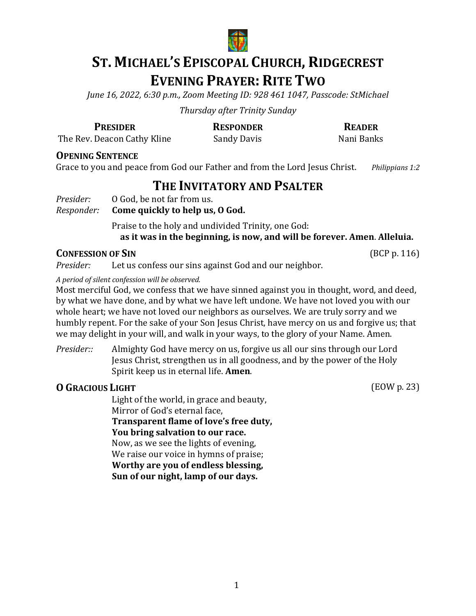

# **ST. MICHAEL'S EPISCOPAL CHURCH, RIDGECREST EVENING PRAYER: RITE TWO**

*June 16, 2022, 6:30 p.m., Zoom Meeting ID: 928 461 1047, Passcode: StMichael*

*Thursday after Trinity Sunday*

**PRESIDER RESPONDER READER**

The Rev. Deacon Cathy Kline Sandy Davis Sandy Davis Nani Banks

**OPENING SENTENCE** 

Grace to you and peace from God our Father and from the Lord Jesus Christ. *Philippians 1:2* 

## **THE INVITATORY AND PSALTER**

*Presider:* 0 God, be not far from us.<br>*Responder:* **Come quickly to help us,** 

#### *Come quickly to help us, O God.*

Praise to the holy and undivided Trinity, one God: as it was in the beginning, is now, and will be forever. Amen. Alleluia.

**CONFESSION OF SIN** (BCP p. 116)<br>*Presider:* Let us confess our sins against God and our neighbor. Let us confess our sins against God and our neighbor.

*A period of silent confession will be observed.*

Most merciful God, we confess that we have sinned against you in thought, word, and deed, by what we have done, and by what we have left undone. We have not loved you with our whole heart; we have not loved our neighbors as ourselves. We are truly sorry and we humbly repent. For the sake of your Son Jesus Christ, have mercy on us and forgive us; that we may delight in your will, and walk in your ways, to the glory of your Name. Amen.

*Presider::* Almighty God have mercy on us, forgive us all our sins through our Lord Jesus Christ, strengthen us in all goodness, and by the power of the Holy Spirit keep us in eternal life. **Amen**.

## **O** GRACIOUS LIGHT (EOW p. 23)

Light of the world, in grace and beauty, Mirror of God's eternal face, **Transparent flame of love's free duty,** You bring salvation to our race. Now, as we see the lights of evening, We raise our voice in hymns of praise; **Worthy are you of endless blessing, Sun of our night, lamp of our days.**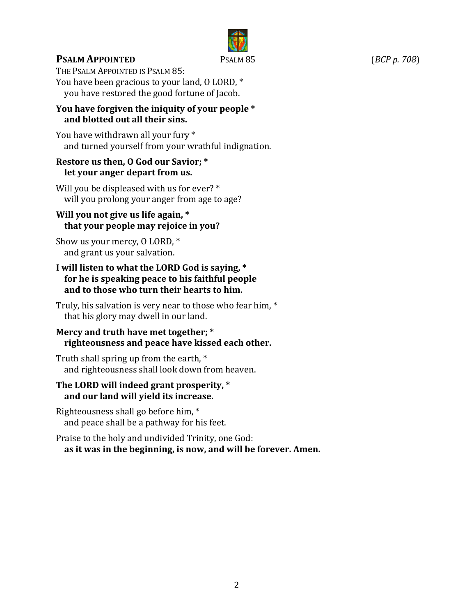

## **PSALM APPOINTED** PSALM 85 (*BCP p. 708*)

THE PSALM APPOINTED IS PSALM 85: You have been gracious to your land, O LORD, \* you have restored the good fortune of Jacob.

#### You have forgiven the iniquity of your people \* and blotted out all their sins.

You have withdrawn all your fury \* and turned yourself from your wrathful indignation.

#### **Restore us then, O God our Savior; \*** *let your anger depart from us.*

Will you be displeased with us for ever?  $*$ will you prolong your anger from age to age?

#### Will you not give us life again, \* **that your people may rejoice in you?**

Show us your mercy,  $0$  LORD,  $*$ and grant us your salvation.

#### I will listen to what the LORD God is saying, \* for he is speaking peace to his faithful people and to those who turn their hearts to him.

Truly, his salvation is very near to those who fear him,  $*$ that his glory may dwell in our land.

#### **Mercy and truth have met together; \* righteousness and peace have kissed each other.**

Truth shall spring up from the earth, \* and righteousness shall look down from heaven.

#### The LORD will indeed grant prosperity, \* and our land will vield its increase.

Righteousness shall go before him,  $*$ and peace shall be a pathway for his feet.

Praise to the holy and undivided Trinity, one God: as it was in the beginning, is now, and will be forever. Amen.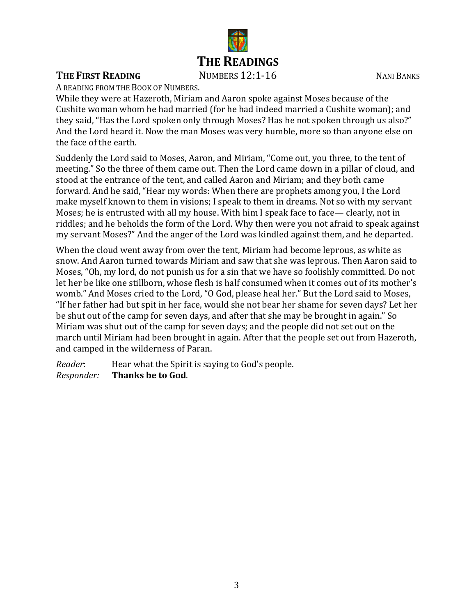

#### **THE FIRST READING** NUMBERS 12:1-16 NANI BANKS

A READING FROM THE BOOK OF NUMBERS.

While they were at Hazeroth, Miriam and Aaron spoke against Moses because of the Cushite woman whom he had married (for he had indeed married a Cushite woman); and they said, "Has the Lord spoken only through Moses? Has he not spoken through us also?" And the Lord heard it. Now the man Moses was very humble, more so than anyone else on the face of the earth.

Suddenly the Lord said to Moses, Aaron, and Miriam, "Come out, you three, to the tent of meeting." So the three of them came out. Then the Lord came down in a pillar of cloud, and stood at the entrance of the tent, and called Aaron and Miriam; and they both came forward. And he said, "Hear my words: When there are prophets among you, I the Lord make myself known to them in visions; I speak to them in dreams. Not so with my servant Moses; he is entrusted with all my house. With him I speak face to face— clearly, not in riddles; and he beholds the form of the Lord. Why then were you not afraid to speak against my servant Moses?" And the anger of the Lord was kindled against them, and he departed.

When the cloud went away from over the tent, Miriam had become leprous, as white as snow. And Aaron turned towards Miriam and saw that she was leprous. Then Aaron said to Moses, "Oh, my lord, do not punish us for a sin that we have so foolishly committed. Do not let her be like one stillborn, whose flesh is half consumed when it comes out of its mother's womb." And Moses cried to the Lord, "O God, please heal her." But the Lord said to Moses, "If her father had but spit in her face, would she not bear her shame for seven days? Let her be shut out of the camp for seven days, and after that she may be brought in again." So Miriam was shut out of the camp for seven days; and the people did not set out on the march until Miriam had been brought in again. After that the people set out from Hazeroth, and camped in the wilderness of Paran.

*Reader*: Hear what the Spirit is saying to God's people.<br>*Responder:* Thanks be to God. **Thanks be to God.**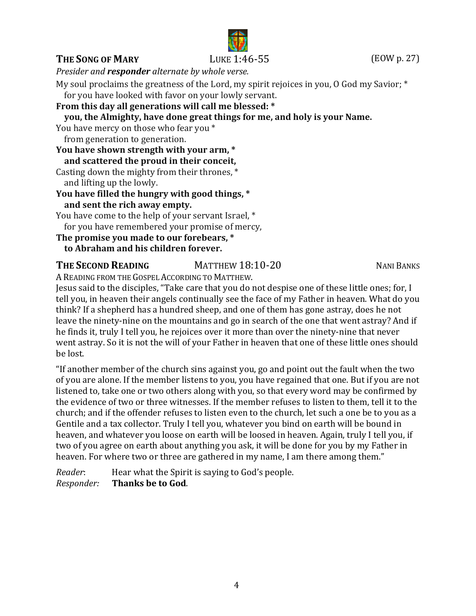## **THE SONG OF MARY** LUKE 1:46-55 (EOW p. 27)

*Presider and responder alternate by whole verse.*

My soul proclaims the greatness of the Lord, my spirit rejoices in you, O God my Savior;  $*$ 

for you have looked with favor on your lowly servant.

**From this day all generations will call me blessed: \***

 **you, the Almighty, have done great things for me, and holy is your Name.**

You have mercy on those who fear you \* from generation to generation.

**You have shown strength with your arm, \* and scattered the proud in their conceit,** Casting down the mighty from their thrones,  $*$ and lifting up the lowly. **You have filled the hungry with good things, \***

 **and sent the rich away empty.**

You have come to the help of your servant Israel, \* for you have remembered your promise of mercy,

**The promise you made to our forebears, \***

## **to Abraham and his children forever.**

## **THE SECOND READING** MATTHEW 18:10-20 MANI BANKS

A READING FROM THE GOSPEL ACCORDING TO MATTHEW.

Jesus said to the disciples, "Take care that you do not despise one of these little ones; for, I tell you, in heaven their angels continually see the face of my Father in heaven. What do you think? If a shepherd has a hundred sheep, and one of them has gone astray, does he not leave the ninety-nine on the mountains and go in search of the one that went astray? And if he finds it, truly I tell you, he rejoices over it more than over the ninety-nine that never went astray. So it is not the will of your Father in heaven that one of these little ones should be lost.

"If another member of the church sins against you, go and point out the fault when the two of you are alone. If the member listens to you, you have regained that one. But if you are not listened to, take one or two others along with you, so that every word may be confirmed by the evidence of two or three witnesses. If the member refuses to listen to them, tell it to the church; and if the offender refuses to listen even to the church, let such a one be to you as a Gentile and a tax collector. Truly I tell you, whatever you bind on earth will be bound in heaven, and whatever you loose on earth will be loosed in heaven. Again, truly I tell you, if two of you agree on earth about anything you ask, it will be done for you by my Father in heaven. For where two or three are gathered in my name, I am there among them."

*Reader*: Hear what the Spirit is saying to God's people.<br>*Responder:* **Thanks be to God**. *Responder:* **Thanks be to God**.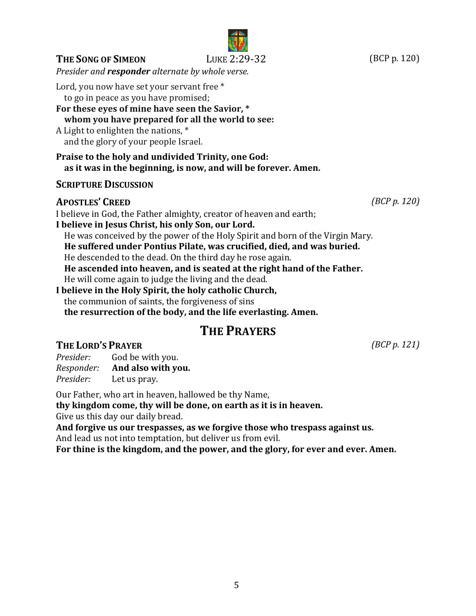# I believe in God, the Father almighty, creator of heaven and earth; **THE PRAYERS THE LORD'S PRAYER** *(BCP p. 121) Responder:* **And also with you.**

# **SCRIPTURE DISCUSSION**

## **APOSTLES' CREED** *(BCP p. 120)*

**I believe in Jesus Christ, his only Son, our Lord.** He was conceived by the power of the Holy Spirit and born of the Virgin Mary.  **He suffered under Pontius Pilate, was crucified, died, and was buried.** He descended to the dead. On the third day he rose again. **He** ascended into heaven, and is seated at the right hand of the Father. He will come again to judge the living and the dead. **I believe in the Holy Spirit, the holy catholic Church,** the communion of saints, the forgiveness of sins  **the resurrection of the body, and the life everlasting. Amen.**

*Presider:* God be with you.<br>*Responder:* **And also with you.** 

*Presider:* Let us pray.

Our Father, who art in heaven, hallowed be thy Name,

**thy kingdom come, thy will be done, on earth as it is in heaven.**

Give us this day our daily bread.

And forgive us our trespasses, as we forgive those who trespass against us. And lead us not into temptation, but deliver us from evil.

For thine is the kingdom, and the power, and the glory, for ever and ever. Amen.

**THE SONG OF SIMEON** LUKE 2:29-32 (BCP p. 120)

*Presider and responder alternate by whole verse.* 

For these eyes of mine have seen the Savior,  $*$ 

 **whom you have prepared for all the world to see:**

**Praise to the holy and undivided Trinity, one God:** 

 **as it was in the beginning, is now, and will be forever. Amen.**

Lord, you now have set your servant free \* to go in peace as you have promised;

A Light to enlighten the nations,  $*$ and the glory of your people Israel.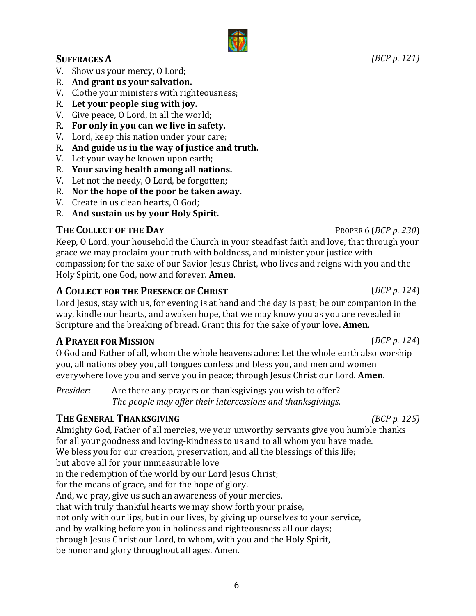#### **SUFFRAGES A** *(BCP p. 121)*

- V. Show us your mercy, O Lord;
- R. And grant us your salvation.
- V. Clothe your ministers with righteousness;
- R. Let your people sing with joy.
- V. Give peace, O Lord, in all the world;
- R. For only in you can we live in safety.
- V. Lord, keep this nation under your care;
- R. And guide us in the way of justice and truth.
- V. Let your way be known upon earth;
- R. Your saving health among all nations.
- V. Let not the needy, O Lord, be forgotten;
- R. Nor the hope of the poor be taken away.
- V. Create in us clean hearts, O God;
- R. And sustain us by your Holy Spirit.

#### **THE COLLECT OF THE DAY** PROPER 6 (*BCP p. 230*)

Keep, O Lord, your household the Church in your steadfast faith and love, that through your grace we may proclaim your truth with boldness, and minister your justice with compassion; for the sake of our Savior Jesus Christ, who lives and reigns with you and the Holy Spirit, one God, now and forever. **Amen**.

#### **A COLLECT** FOR THE PRESENCE OF **CHRIST** (*BCP p.* 124)

Lord Jesus, stay with us, for evening is at hand and the day is past; be our companion in the way, kindle our hearts, and awaken hope, that we may know you as you are revealed in Scripture and the breaking of bread. Grant this for the sake of your love. **Amen**.

## **A PRAYER FOR MISSION** (*BCP p.* 124)

O God and Father of all, whom the whole heavens adore: Let the whole earth also worship you, all nations obey you, all tongues confess and bless you, and men and women everywhere love you and serve you in peace; through Jesus Christ our Lord. **Amen**.

*Presider:* Are there any prayers or thanksgivings you wish to offer? *The people may offer their intercessions and thanksgivings.* 

## **THE GENERAL THANKSGIVING** *(BCP p. 125)*

Almighty God, Father of all mercies, we your unworthy servants give you humble thanks for all your goodness and loving-kindness to us and to all whom you have made. We bless you for our creation, preservation, and all the blessings of this life; but above all for your immeasurable love in the redemption of the world by our Lord Jesus Christ; for the means of grace, and for the hope of glory. And, we pray, give us such an awareness of your mercies, that with truly thankful hearts we may show forth your praise, not only with our lips, but in our lives, by giving up ourselves to your service, and by walking before you in holiness and righteousness all our days; through Jesus Christ our Lord, to whom, with you and the Holy Spirit, be honor and glory throughout all ages. Amen.